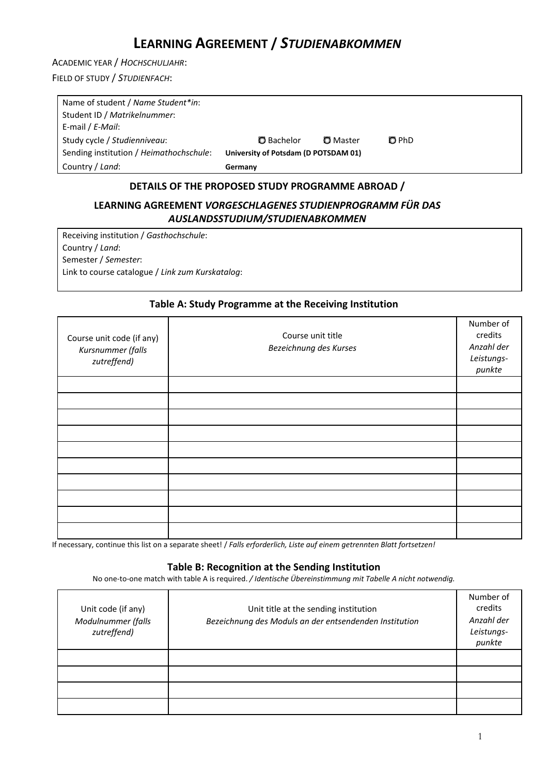# **LEARNING AGREEMENT /** *STUDIENABKOMMEN*

ACADEMIC YEAR / *HOCHSCHULJAHR*:

FIELD OF STUDY / *STUDIENFACH*:

| Name of student / Name Student*in:<br>Student ID / Matrikelnummer:      |                                                           |                 |         |  |
|-------------------------------------------------------------------------|-----------------------------------------------------------|-----------------|---------|--|
| E-mail / $E$ -Mail:                                                     |                                                           |                 |         |  |
| Study cycle / Studienniveau:<br>Sending institution / Heimathochschule: | <b>D</b> Bachelor<br>University of Potsdam (D POTSDAM 01) | <b>D</b> Master | $D$ PhD |  |
| Country / Land:                                                         | Germany                                                   |                 |         |  |

## **DETAILS OF THE PROPOSED STUDY PROGRAMME ABROAD /**

# **LEARNING AGREEMENT** *VORGESCHLAGENES STUDIENPROGRAMM FÜR DAS AUSLANDSSTUDIUM/STUDIENABKOMMEN*

Receiving institution / *Gasthochschule*: Country / *Land*: Semester / *Semester*: Link to course catalogue / *Link zum Kurskatalog*:

## **Table A: Study Programme at the Receiving Institution**

| Course unit code (if any)<br>Kursnummer (falls<br>zutreffend) | Course unit title<br>Bezeichnung des Kurses | Number of<br>credits<br>Anzahl der<br>Leistungs-<br>punkte |
|---------------------------------------------------------------|---------------------------------------------|------------------------------------------------------------|
|                                                               |                                             |                                                            |
|                                                               |                                             |                                                            |
|                                                               |                                             |                                                            |
|                                                               |                                             |                                                            |
|                                                               |                                             |                                                            |
|                                                               |                                             |                                                            |
|                                                               |                                             |                                                            |
|                                                               |                                             |                                                            |
|                                                               |                                             |                                                            |
|                                                               |                                             |                                                            |

If necessary, continue this list on a separate sheet! / *Falls erforderlich, Liste auf einem getrennten Blatt fortsetzen!* 

#### **Table B: Recognition at the Sending Institution**

No one‐to‐one match with table A is required. */ Identische Übereinstimmung mit Tabelle A nicht notwendig.* 

| Unit code (if any)<br>Modulnummer (falls<br>zutreffend) | Unit title at the sending institution<br>Bezeichnung des Moduls an der entsendenden Institution | Number of<br>credits<br>Anzahl der<br>Leistungs-<br>punkte |
|---------------------------------------------------------|-------------------------------------------------------------------------------------------------|------------------------------------------------------------|
|                                                         |                                                                                                 |                                                            |
|                                                         |                                                                                                 |                                                            |
|                                                         |                                                                                                 |                                                            |
|                                                         |                                                                                                 |                                                            |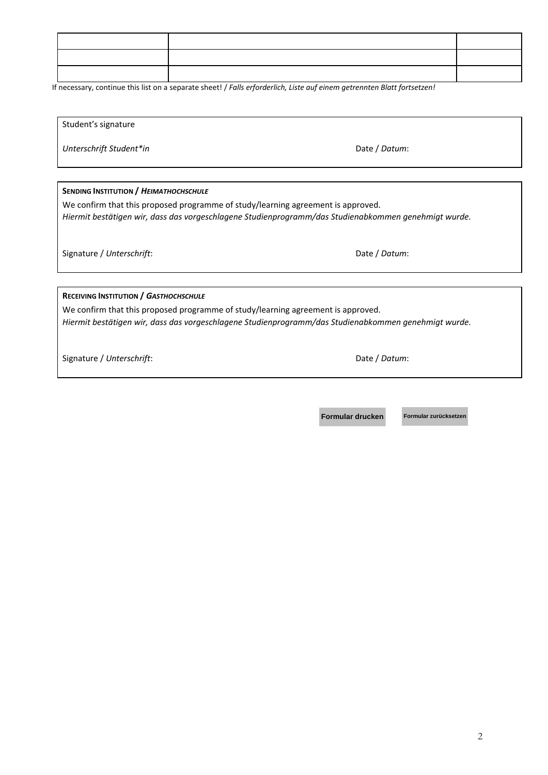If necessary, continue this list on a separate sheet! / *Falls erforderlich, Liste auf einem getrennten Blatt fortsetzen!* 

Student's signature

*Unterschrift Student\*in* Date / *Datum*:

#### **SENDING INSTITUTION /** *HEIMATHOCHSCHULE*

We confirm that this proposed programme of study/learning agreement is approved. *Hiermit bestätigen wir, dass das vorgeschlagene Studienprogramm/das Studienabkommen genehmigt wurde.* 

Signature / *Unterschrift*:  $Date / Datum:$ 

#### **RECEIVING INSTITUTION /** *GASTHOCHSCHULE*

We confirm that this proposed programme of study/learning agreement is approved. *Hiermit bestätigen wir, dass das vorgeschlagene Studienprogramm/das Studienabkommen genehmigt wurde.* 

Signature / *Unterschrift*:  $Date / Datum:$ 

**Formular drucken Formular zurücksetzen**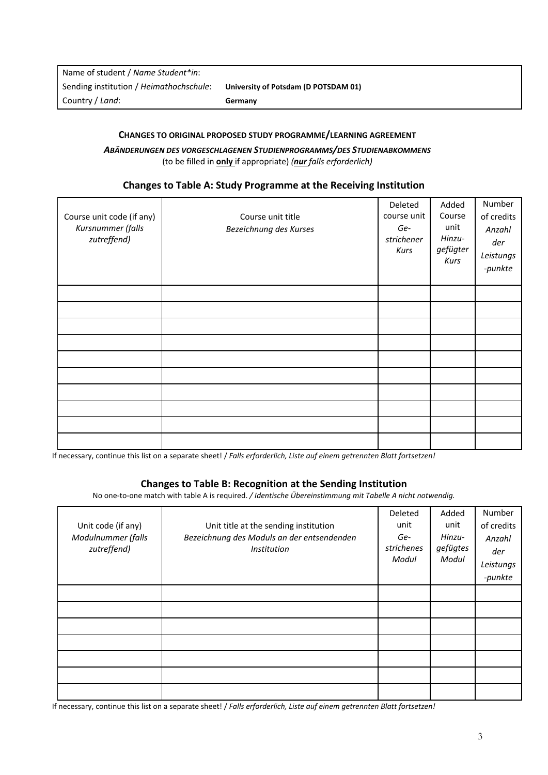Name of student / *Name Student\*in*: Sending institution / *Heimathochschule*: **University of Potsdam (D POTSDAM 01)** Country / *Land*: **Germany**

#### **CHANGES TO ORIGINAL PROPOSED STUDY PROGRAMME/LEARNING AGREEMENT**

*ABÄNDERUNGEN DES VORGESCHLAGENEN STUDIENPROGRAMMS/DES STUDIENABKOMMENS* (to be filled in **only** if appropriate) *(nur falls erforderlich)* 

| Course unit code (if any)<br>Kursnummer (falls<br>zutreffend) | Course unit title<br>Bezeichnung des Kurses | Deleted<br>course unit<br>Ge-<br>strichener<br>Kurs | Added<br>Course<br>unit<br>Hinzu-<br>gefügter<br>Kurs | Number<br>of credits<br>Anzahl<br>der<br>Leistungs<br>-punkte |
|---------------------------------------------------------------|---------------------------------------------|-----------------------------------------------------|-------------------------------------------------------|---------------------------------------------------------------|
|                                                               |                                             |                                                     |                                                       |                                                               |
|                                                               |                                             |                                                     |                                                       |                                                               |
|                                                               |                                             |                                                     |                                                       |                                                               |
|                                                               |                                             |                                                     |                                                       |                                                               |
|                                                               |                                             |                                                     |                                                       |                                                               |
|                                                               |                                             |                                                     |                                                       |                                                               |
|                                                               |                                             |                                                     |                                                       |                                                               |
|                                                               |                                             |                                                     |                                                       |                                                               |
|                                                               |                                             |                                                     |                                                       |                                                               |
|                                                               |                                             |                                                     |                                                       |                                                               |

#### **Changes to Table A: Study Programme at the Receiving Institution**

If necessary, continue this list on a separate sheet! / *Falls erforderlich, Liste auf einem getrennten Blatt fortsetzen!* 

#### **Changes to Table B: Recognition at the Sending Institution**

No one‐to‐one match with table A is required. */ Identische Übereinstimmung mit Tabelle A nicht notwendig.* 

| Unit code (if any)<br>Modulnummer (falls<br>zutreffend) | Unit title at the sending institution<br>Bezeichnung des Moduls an der entsendenden<br>Institution | Deleted<br>unit<br>Ge-<br>strichenes<br>Modul | Added<br>unit<br>Hinzu-<br>gefügtes<br>Modul | Number<br>of credits<br>Anzahl<br>der<br>Leistungs<br>-punkte |
|---------------------------------------------------------|----------------------------------------------------------------------------------------------------|-----------------------------------------------|----------------------------------------------|---------------------------------------------------------------|
|                                                         |                                                                                                    |                                               |                                              |                                                               |
|                                                         |                                                                                                    |                                               |                                              |                                                               |
|                                                         |                                                                                                    |                                               |                                              |                                                               |
|                                                         |                                                                                                    |                                               |                                              |                                                               |
|                                                         |                                                                                                    |                                               |                                              |                                                               |
|                                                         |                                                                                                    |                                               |                                              |                                                               |
|                                                         |                                                                                                    |                                               |                                              |                                                               |

If necessary, continue this list on a separate sheet! / *Falls erforderlich, Liste auf einem getrennten Blatt fortsetzen!*